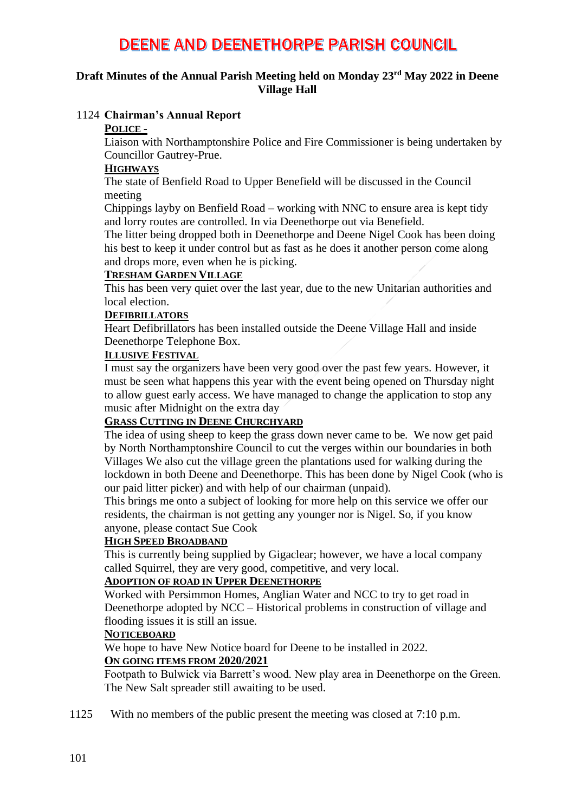### **Draft Minutes of the Annual Parish Meeting held on Monday 23rd May 2022 in Deene Village Hall**

#### 1124 **Chairman's Annual Report**

#### **POLICE -**

Liaison with Northamptonshire Police and Fire Commissioner is being undertaken by Councillor Gautrey-Prue.

#### **HIGHWAYS**

The state of Benfield Road to Upper Benefield will be discussed in the Council meeting

Chippings layby on Benfield Road – working with NNC to ensure area is kept tidy and lorry routes are controlled. In via Deenethorpe out via Benefield.

The litter being dropped both in Deenethorpe and Deene Nigel Cook has been doing his best to keep it under control but as fast as he does it another person come along and drops more, even when he is picking.

#### **TRESHAM GARDEN VILLAGE**

This has been very quiet over the last year, due to the new Unitarian authorities and local election.

#### **DEFIBRILLATORS**

Heart Defibrillators has been installed outside the Deene Village Hall and inside Deenethorpe Telephone Box.

#### **ILLUSIVE FESTIVAL**

I must say the organizers have been very good over the past few years. However, it must be seen what happens this year with the event being opened on Thursday night to allow guest early access. We have managed to change the application to stop any music after Midnight on the extra day

#### **GRASS CUTTING IN DEENE CHURCHYARD**

The idea of using sheep to keep the grass down never came to be. We now get paid by North Northamptonshire Council to cut the verges within our boundaries in both Villages We also cut the village green the plantations used for walking during the lockdown in both Deene and Deenethorpe. This has been done by Nigel Cook (who is our paid litter picker) and with help of our chairman (unpaid).

This brings me onto a subject of looking for more help on this service we offer our residents, the chairman is not getting any younger nor is Nigel. So, if you know anyone, please contact Sue Cook

#### **HIGH SPEED BROADBAND**

This is currently being supplied by Gigaclear; however, we have a local company called Squirrel, they are very good, competitive, and very local.

### **ADOPTION OF ROAD IN UPPER DEENETHORPE**

Worked with Persimmon Homes, Anglian Water and NCC to try to get road in Deenethorpe adopted by NCC – Historical problems in construction of village and flooding issues it is still an issue.

#### **NOTICEBOARD**

We hope to have New Notice board for Deene to be installed in 2022.

#### **ON GOING ITEMS FROM 2020/2021**

Footpath to Bulwick via Barrett's wood. New play area in Deenethorpe on the Green. The New Salt spreader still awaiting to be used.

1125 With no members of the public present the meeting was closed at 7:10 p.m.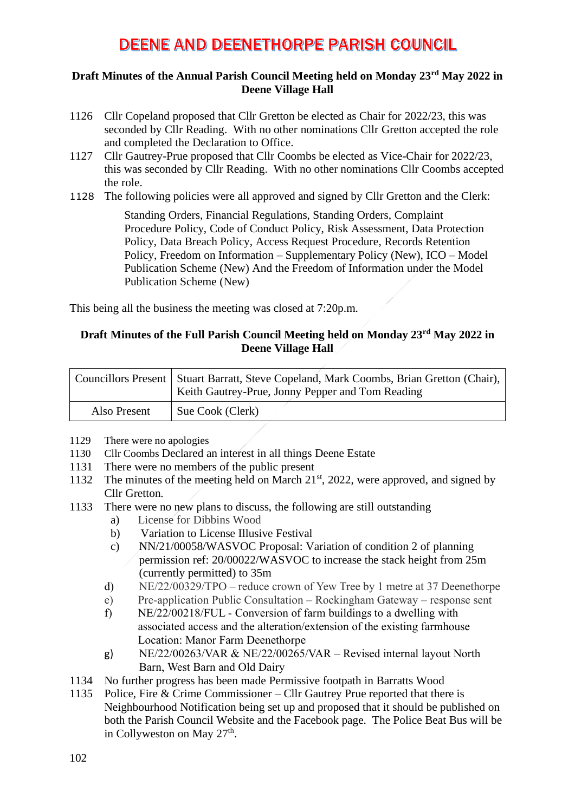### **Draft Minutes of the Annual Parish Council Meeting held on Monday 23rd May 2022 in Deene Village Hall**

- 1126 Cllr Copeland proposed that Cllr Gretton be elected as Chair for 2022/23, this was seconded by Cllr Reading. With no other nominations Cllr Gretton accepted the role and completed the Declaration to Office.
- 1127 Cllr Gautrey-Prue proposed that Cllr Coombs be elected as Vice-Chair for 2022/23, this was seconded by Cllr Reading. With no other nominations Cllr Coombs accepted the role.
- 1128 The following policies were all approved and signed by Cllr Gretton and the Clerk:

Standing Orders, Financial Regulations, Standing Orders, Complaint Procedure Policy, Code of Conduct Policy, Risk Assessment, Data Protection Policy, Data Breach Policy, Access Request Procedure, Records Retention Policy, Freedom on Information – Supplementary Policy (New), ICO – Model Publication Scheme (New) And the Freedom of Information under the Model Publication Scheme (New)

This being all the business the meeting was closed at 7:20p.m.

## **Draft Minutes of the Full Parish Council Meeting held on Monday 23rd May 2022 in Deene Village Hall**

|              | Councillors Present   Stuart Barratt, Steve Copeland, Mark Coombs, Brian Gretton (Chair),  <br>Keith Gautrey-Prue, Jonny Pepper and Tom Reading |
|--------------|-------------------------------------------------------------------------------------------------------------------------------------------------|
| Also Present | Sue Cook (Clerk)                                                                                                                                |

- 1129 There were no apologies
- 1130 Cllr Coombs Declared an interest in all things Deene Estate
- 1131 There were no members of the public present
- 1132 The minutes of the meeting held on March 21<sup>st</sup>, 2022, were approved, and signed by Cllr Gretton.
- 1133 There were no new plans to discuss, the following are still outstanding
	- a) License for Dibbins Wood
	- b) Variation to License Illusive Festival
	- c) NN/21/00058/WASVOC Proposal: Variation of condition 2 of planning permission ref: 20/00022/WASVOC to increase the stack height from 25m (currently permitted) to 35m
	- d) NE/22/00329/TPO reduce crown of Yew Tree by 1 metre at 37 Deenethorpe
	- e) Pre-application Public Consultation Rockingham Gateway response sent
	- f) NE/22/00218/FUL Conversion of farm buildings to a dwelling with associated access and the alteration/extension of the existing farmhouse Location: Manor Farm Deenethorpe
	- g) NE/22/00263/VAR & NE/22/00265/VAR Revised internal layout North Barn, West Barn and Old Dairy
- 1134 No further progress has been made Permissive footpath in Barratts Wood
- 1135 Police, Fire & Crime Commissioner Cllr Gautrey Prue reported that there is Neighbourhood Notification being set up and proposed that it should be published on both the Parish Council Website and the Facebook page. The Police Beat Bus will be in Collyweston on May 27<sup>th</sup>.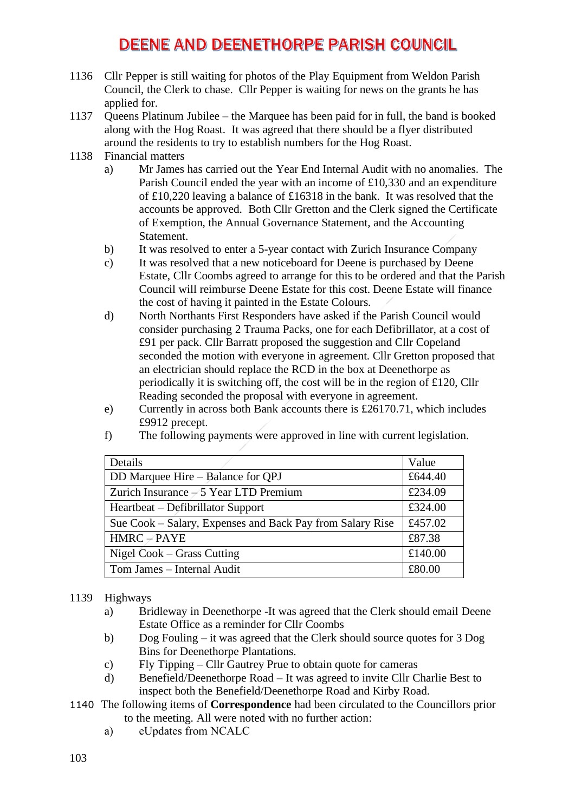- 1136 Cllr Pepper is still waiting for photos of the Play Equipment from Weldon Parish Council, the Clerk to chase. Cllr Pepper is waiting for news on the grants he has applied for.
- 1137 Queens Platinum Jubilee the Marquee has been paid for in full, the band is booked along with the Hog Roast. It was agreed that there should be a flyer distributed around the residents to try to establish numbers for the Hog Roast.
- 1138 Financial matters
	- a) Mr James has carried out the Year End Internal Audit with no anomalies. The Parish Council ended the year with an income of £10,330 and an expenditure of £10,220 leaving a balance of £16318 in the bank. It was resolved that the accounts be approved. Both Cllr Gretton and the Clerk signed the Certificate of Exemption, the Annual Governance Statement, and the Accounting Statement.
	- b) It was resolved to enter a 5-year contact with Zurich Insurance Company
	- c) It was resolved that a new noticeboard for Deene is purchased by Deene Estate, Cllr Coombs agreed to arrange for this to be ordered and that the Parish Council will reimburse Deene Estate for this cost. Deene Estate will finance the cost of having it painted in the Estate Colours.
	- d) North Northants First Responders have asked if the Parish Council would consider purchasing 2 Trauma Packs, one for each Defibrillator, at a cost of £91 per pack. Cllr Barratt proposed the suggestion and Cllr Copeland seconded the motion with everyone in agreement. Cllr Gretton proposed that an electrician should replace the RCD in the box at Deenethorpe as periodically it is switching off, the cost will be in the region of £120, Cllr Reading seconded the proposal with everyone in agreement.
	- e) Currently in across both Bank accounts there is £26170.71, which includes £9912 precept.
	- f) The following payments were approved in line with current legislation.

| Details                                                   | Value   |
|-----------------------------------------------------------|---------|
| DD Marquee Hire – Balance for QPJ                         | £644.40 |
| Zurich Insurance $-5$ Year LTD Premium                    | £234.09 |
| Heartbeat – Defibrillator Support                         | £324.00 |
| Sue Cook – Salary, Expenses and Back Pay from Salary Rise | £457.02 |
| $HMRC \neq PAYE$                                          | £87.38  |
| Nigel Cook – Grass Cutting                                | £140.00 |
| Tom James - Internal Audit                                | £80.00  |

#### 1139 Highways

- a) Bridleway in Deenethorpe -It was agreed that the Clerk should email Deene Estate Office as a reminder for Cllr Coombs
- b) Dog Fouling it was agreed that the Clerk should source quotes for 3 Dog Bins for Deenethorpe Plantations.
- c) Fly Tipping Cllr Gautrey Prue to obtain quote for cameras
- d) Benefield/Deenethorpe Road It was agreed to invite Cllr Charlie Best to inspect both the Benefield/Deenethorpe Road and Kirby Road.
- 1140 The following items of **Correspondence** had been circulated to the Councillors prior to the meeting. All were noted with no further action:
	- a) eUpdates from NCALC